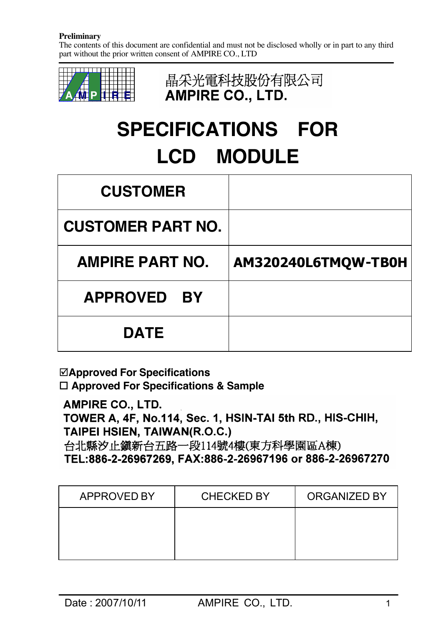The contents of this document are confidential and must not be disclosed wholly or in part to any third part without the prior written consent of AMPIRE CO., LTD



晶采光電科技股份有限公司 AMPIRE CO., LTD.

# **SPECIFICATIONS FOR LCD MODULE**

| <b>CUSTOMER</b>              |                     |
|------------------------------|---------------------|
| <b>CUSTOMER PART NO.</b>     |                     |
| <b>AMPIRE PART NO.</b>       | AM320240L6TMQW-TB0H |
| <b>APPROVED</b><br><b>BY</b> |                     |
| <b>DATE</b>                  |                     |

˛**Approved For Specifications** □ Approved For Specifications & Sample

**AMPIRE CO., LTD.** 

TOWER A, 4F, No.114, Sec. 1, HSIN-TAI 5th RD., HIS-CHIH, TAIPEI HSIEN, TAIWAN(R.O.C.)

台北縣汐止鎮新台五路一段114號4樓(東方科學園區A棟) TEL:886-2-26967269. FAX:886-2-26967196 or 886-2-26967270

| <b>APPROVED BY</b> | <b>CHECKED BY</b> | <b>ORGANIZED BY</b> |
|--------------------|-------------------|---------------------|
|                    |                   |                     |
|                    |                   |                     |
|                    |                   |                     |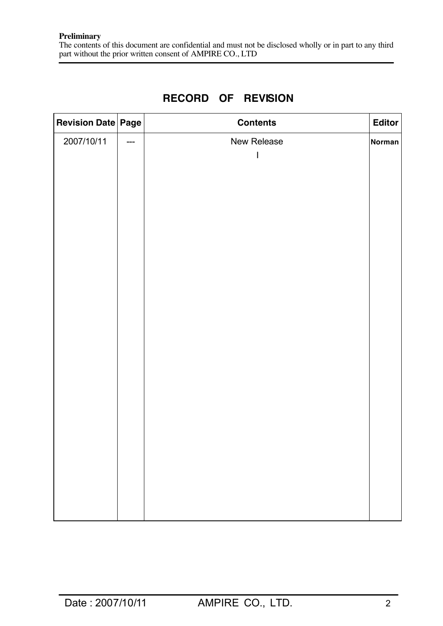| Revision Date Page |                                     | <b>Contents</b> | <b>Editor</b> |
|--------------------|-------------------------------------|-----------------|---------------|
| 2007/10/11         | $\hspace{0.05cm}---\hspace{0.05cm}$ | New Release     | <b>Norman</b> |
|                    |                                     |                 |               |
|                    |                                     |                 |               |
|                    |                                     |                 |               |
|                    |                                     |                 |               |
|                    |                                     |                 |               |
|                    |                                     |                 |               |
|                    |                                     |                 |               |
|                    |                                     |                 |               |
|                    |                                     |                 |               |
|                    |                                     |                 |               |
|                    |                                     |                 |               |
|                    |                                     |                 |               |
|                    |                                     |                 |               |
|                    |                                     |                 |               |
|                    |                                     |                 |               |
|                    |                                     |                 |               |
|                    |                                     |                 |               |
|                    |                                     |                 |               |
|                    |                                     |                 |               |
|                    |                                     |                 |               |

# **RECORD OF REVISION**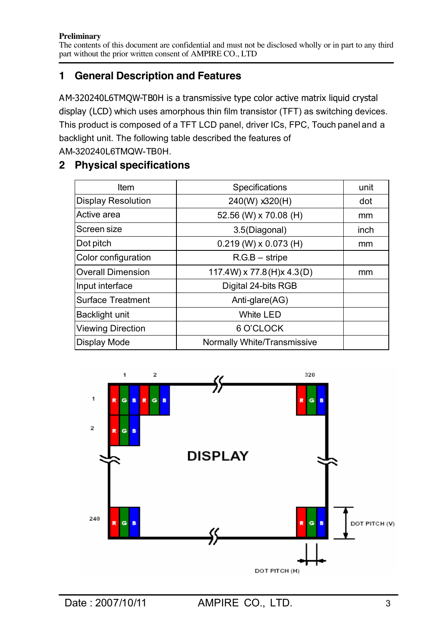# **1 General Description and Features**

AM-320240L6TMQW-TB0H is a transmissive type color active matrix liquid crystal display (LCD) which uses amorphous thin film transistor (TFT) as switching devices. This product is composed of a TFT LCD panel, driver ICs, FPC, Touch panel and a backlight unit. The following table described the features of AM-320240L6TMQW-TB0H.

# **2 Physical specifications**

| <b>Item</b>               | Specifications                     | unit |
|---------------------------|------------------------------------|------|
| <b>Display Resolution</b> | 240(W) x320(H)                     | dot  |
| Active area               | 52.56 (W) x 70.08 (H)              | mm   |
| Screen size               | 3.5(Diagonal)                      | inch |
| Dot pitch                 | $0.219$ (W) x $0.073$ (H)          | mm   |
| Color configuration       | $R.G.B - string$                   |      |
| <b>Overall Dimension</b>  | $117.4W$ ) x 77.8(H)x 4.3(D)       | mm   |
| Input interface           | Digital 24-bits RGB                |      |
| <b>Surface Treatment</b>  | Anti-glare(AG)                     |      |
| Backlight unit            | <b>White LED</b>                   |      |
| <b>Viewing Direction</b>  | 6 O'CLOCK                          |      |
| <b>Display Mode</b>       | <b>Normally White/Transmissive</b> |      |

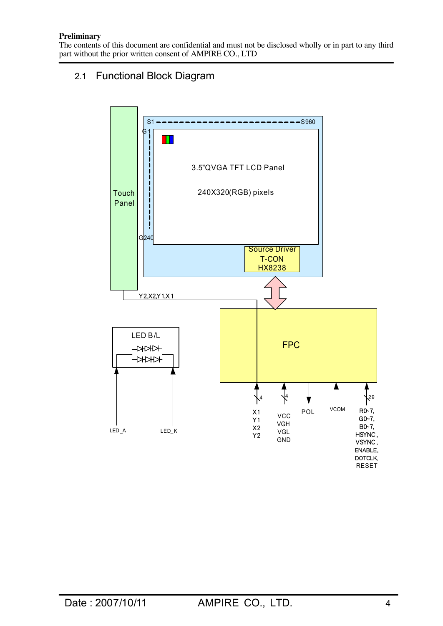The contents of this document are confidential and must not be disclosed wholly or in part to any third part without the prior written consent of AMPIRE CO., LTD

## 2.1 Functional Block Diagram

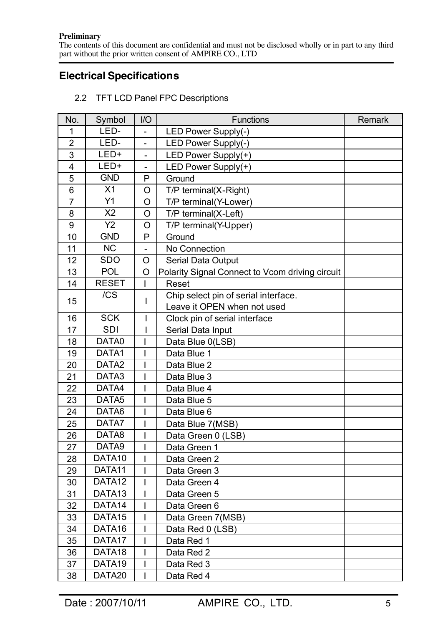The contents of this document are confidential and must not be disclosed wholly or in part to any third part without the prior written consent of AMPIRE CO., LTD

# **Electrical Specifications**

| No.            | Symbol             | $II$                     | <b>Functions</b>                                | Remark |
|----------------|--------------------|--------------------------|-------------------------------------------------|--------|
| 1              | LED-               | $\qquad \qquad -$        | LED Power Supply(-)                             |        |
| $\overline{2}$ | LED-               |                          | LED Power Supply(-)                             |        |
| 3              | LED+               | $\qquad \qquad -$        | LED Power Supply(+)                             |        |
| 4              | LED+               |                          | LED Power Supply(+)                             |        |
| 5              | <b>GND</b>         | P                        | Ground                                          |        |
| 6              | X <sub>1</sub>     | O                        | T/P terminal(X-Right)                           |        |
| $\overline{7}$ | Y1                 | O                        | T/P terminal(Y-Lower)                           |        |
| 8              | X2                 | $\circ$                  | T/P terminal(X-Left)                            |        |
| 9              | Y2                 | O                        | T/P terminal(Y-Upper)                           |        |
| 10             | <b>GND</b>         | P                        | Ground                                          |        |
| 11             | <b>NC</b>          | $\overline{\phantom{a}}$ | No Connection                                   |        |
| 12             | <b>SDO</b>         | O                        | <b>Serial Data Output</b>                       |        |
| 13             | POL                | $\circ$                  | Polarity Signal Connect to Vcom driving circuit |        |
| 14             | <b>RESET</b>       |                          | Reset                                           |        |
|                | /CS                |                          | Chip select pin of serial interface.            |        |
| 15             |                    |                          | Leave it OPEN when not used                     |        |
| 16             | <b>SCK</b>         |                          | Clock pin of serial interface                   |        |
| 17             | <b>SDI</b>         |                          | Serial Data Input                               |        |
| 18             | DATA0              |                          | Data Blue 0(LSB)                                |        |
| 19             | DATA1              |                          | Data Blue 1                                     |        |
| 20             | DATA <sub>2</sub>  |                          | Data Blue 2                                     |        |
| 21             | DATA3              |                          | Data Blue 3                                     |        |
| 22             | DATA4              |                          | Data Blue 4                                     |        |
| 23             | DATA <sub>5</sub>  |                          | Data Blue 5                                     |        |
| 24             | DATA6              |                          | Data Blue 6                                     |        |
| 25             | DATA7              |                          | Data Blue 7(MSB)                                |        |
| 26             | DATA8              |                          | Data Green 0 (LSB)                              |        |
| 27             | DATA9              |                          | Data Green 1                                    |        |
| 28             | DATA <sub>10</sub> |                          | Data Green 2                                    |        |
| 29             | DATA11             |                          | Data Green 3                                    |        |
| 30             | DATA12             |                          | Data Green 4                                    |        |
| 31             | DATA <sub>13</sub> |                          | Data Green 5                                    |        |
| 32             | DATA14             |                          | Data Green 6                                    |        |
| 33             | DATA <sub>15</sub> |                          | Data Green 7(MSB)                               |        |
| 34             | DATA <sub>16</sub> |                          | Data Red 0 (LSB)                                |        |
| 35             | DATA17             |                          | Data Red 1                                      |        |
| 36             | DATA18             |                          | Data Red 2                                      |        |
| 37             | DATA19             |                          | Data Red 3                                      |        |
| 38             | DATA <sub>20</sub> |                          | Data Red 4                                      |        |

2.2 TFT LCD Panel FPC Descriptions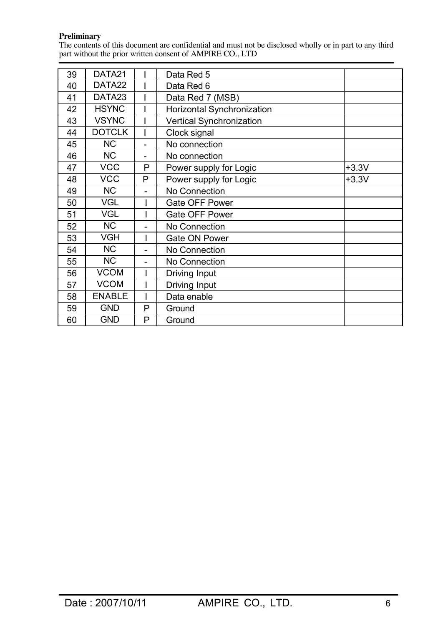The contents of this document are confidential and must not be disclosed wholly or in part to any third part without the prior written consent of AMPIRE CO., LTD

| 39 | DATA21             |                          | Data Red 5                        |         |
|----|--------------------|--------------------------|-----------------------------------|---------|
| 40 | DATA <sub>22</sub> |                          | Data Red 6                        |         |
| 41 | DATA <sub>23</sub> |                          | Data Red 7 (MSB)                  |         |
| 42 | <b>HSYNC</b>       |                          | <b>Horizontal Synchronization</b> |         |
| 43 | <b>VSYNC</b>       |                          | <b>Vertical Synchronization</b>   |         |
| 44 | <b>DOTCLK</b>      |                          | Clock signal                      |         |
| 45 | <b>NC</b>          | $\overline{a}$           | No connection                     |         |
| 46 | <b>NC</b>          |                          | No connection                     |         |
| 47 | <b>VCC</b>         | P                        | Power supply for Logic            | $+3.3V$ |
| 48 | <b>VCC</b>         | P                        | Power supply for Logic            | $+3.3V$ |
| 49 | <b>NC</b>          | $\overline{\phantom{0}}$ | No Connection                     |         |
| 50 | <b>VGL</b>         |                          | <b>Gate OFF Power</b>             |         |
| 51 | <b>VGL</b>         |                          | Gate OFF Power                    |         |
| 52 | <b>NC</b>          | -                        | No Connection                     |         |
| 53 | <b>VGH</b>         |                          | <b>Gate ON Power</b>              |         |
| 54 | <b>NC</b>          |                          | No Connection                     |         |
| 55 | <b>NC</b>          | -                        | No Connection                     |         |
| 56 | <b>VCOM</b>        |                          | Driving Input                     |         |
| 57 | <b>VCOM</b>        |                          | Driving Input                     |         |
| 58 | <b>ENABLE</b>      |                          | Data enable                       |         |
| 59 | <b>GND</b>         | P                        | Ground                            |         |
| 60 | <b>GND</b>         | P                        | Ground                            |         |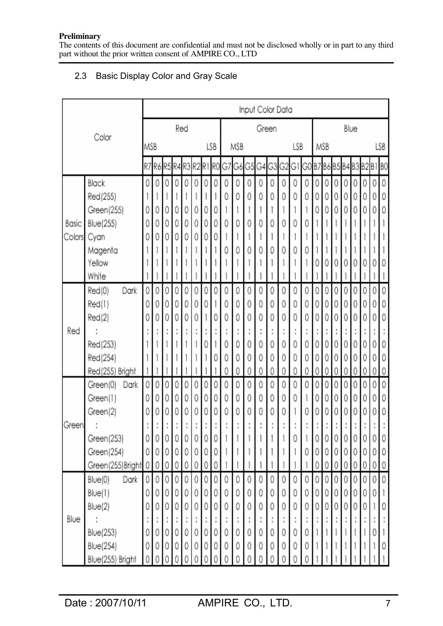The contents of this document are confidential and must not be disclosed wholly or in part to any third part without the prior written consent of AMPIRE CO., LTD

## 2.3 Basic Display Color and Gray Scale

|        |                    | Input Color Data |   |   |   |     |   |   |     |   |                              |   |        |       |   |         |                            |   |          |   |   |      |   |   |     |
|--------|--------------------|------------------|---|---|---|-----|---|---|-----|---|------------------------------|---|--------|-------|---|---------|----------------------------|---|----------|---|---|------|---|---|-----|
|        |                    |                  |   |   |   | Red |   |   |     |   |                              |   |        | Green |   |         |                            |   |          |   |   | Blue |   |   |     |
|        | Color              | MSB              |   |   |   |     |   |   | LSB |   | MSB                          |   |        |       |   | LSB     |                            |   | MSB      |   |   |      |   |   | LSB |
|        |                    |                  |   |   |   |     |   |   |     |   | R7R6R5R4R3R2R1R0G7G6G5G4G3G2 |   |        |       |   | GΙ      | GO B7 B6 B5 B4 B3 B2 B1 B0 |   |          |   |   |      |   |   |     |
|        | Black              | 0                | 0 | 0 | 0 | 0   | 0 | 0 | 0   | 0 | 0                            | 0 | 0      | 0     | 0 | 0       | 0                          | 0 | 0        | 0 | 0 | 0    | 0 | 0 | 0   |
|        | Red(255)           |                  |   |   |   |     |   |   |     | 0 | 0                            | 0 | 0      | 0     | 0 | 0       | 0                          | 0 | 0        | 0 | 0 | 0    | 0 | 0 | 0   |
|        | Green(255)         | 0                | 0 | 0 | 0 | 0   | 0 | 0 | 0   |   |                              |   |        |       |   |         |                            | 0 | 0        | 0 | 0 | 0    | 0 | 0 |     |
| Basic  | Blue(255)          | 0                | 0 | 0 | 0 | 0   | 0 | 0 | 0   | 0 | 0                            | 0 | 0      | 0     | 0 | 0       | 0                          |   |          |   |   |      |   |   |     |
| Colors | Cyan               | 0                | 0 | 0 | 0 | 0   | 0 | 0 | 0   |   |                              |   |        |       |   |         |                            |   |          |   |   |      |   |   |     |
|        | Magenta            |                  |   |   |   |     |   |   |     |   | 0                            | 0 | 0      | 0     | 0 | 0       | 0                          |   |          |   |   |      |   |   |     |
|        | Yellow             |                  |   |   |   |     |   |   |     |   |                              |   |        |       |   |         |                            | 0 |          | 0 | 0 |      | 0 | 0 |     |
|        | White              |                  |   |   |   |     |   |   |     |   |                              |   |        |       |   |         |                            |   |          |   |   |      |   |   |     |
|        | Dark<br>Red(0)     | 0                | 0 | 0 | 0 | 0   | 0 | 0 | 0   | 0 | 0                            | 0 | 0      | 0     | 0 | 0       | 0                          | 0 | 0        | 0 | 0 | 0    | 0 | 0 | 0   |
|        | Red(1)             | 0                | 0 | 0 | 0 | 0   | 0 | 0 |     | 0 | 0                            | 0 | 0      | 0     | 0 | 0       | 0                          | 0 | 0        | 0 | 0 | 0    | 0 | 0 | 0   |
|        | Red(2)             | 0                | 0 | 0 | 0 | 0   | 0 |   | 0   | 0 | 0                            | 0 | 0      | 0     | 0 | 0       | 0                          | 0 | 0        | 0 | 0 | 0    | 0 | 0 | 0   |
| Red    |                    |                  |   |   |   |     |   |   |     |   | Ì                            |   | ۰<br>٠ |       | ٠ | ë<br>×, |                            |   | $\vdots$ | ٠ | ۰ |      |   |   |     |
|        | Red(253)           |                  |   |   |   |     |   | 0 |     | 0 | 0                            | 0 | 0      | 0     | 0 | 0       | 0                          | 0 | 0        | 0 | 0 | 0    | 0 | 0 |     |
|        | Red(254)           |                  |   |   |   |     |   |   | 0   |   | 0                            | 0 | 0      | 0     | 0 | 0       | 0                          | 0 | 0        | 0 | 0 | 0    | 0 | 0 | 0   |
|        | Red(255) Bright    |                  |   |   |   |     |   |   |     | 0 | 0                            | 0 | 0      | 0     | 0 | 0       | 0                          | 0 | 0        | 0 | 0 | 0    | 0 | 0 | 0   |
|        | Green(0)<br>Dark   | 0                | 0 | 0 | 0 | 0   | 0 | 0 | 0   | 0 | 0                            | 0 | 0      | 0     | 0 | 0       | 0                          | 0 | 0        | 0 | 0 | 0    | 0 | 0 | 0   |
|        | Green(1)           | 0                | 0 | 0 | 0 | 0   | 0 | 0 | 0   | 0 | 0                            | 0 | 0      | 0     | 0 | 0       |                            | 0 | 0        | 0 | 0 | 0    | 0 | 0 | 0   |
|        | Green(2)           | 0                | 0 | 0 | 0 | 0   | 0 | 0 | Ō   | 0 | 0                            | 0 | 0      | 0     | 0 |         | 0                          | 0 | 0        | 0 | 0 | 0    | 0 | 0 | 0   |
| Green  |                    |                  |   |   |   |     |   |   |     |   |                              |   |        |       |   |         |                            |   |          |   |   |      |   |   |     |
|        | Green(253)         |                  |   | Ü |   | 0   | 0 |   |     |   |                              |   |        |       |   |         |                            |   |          | 0 | 0 |      | 0 |   |     |
|        | Green(254)         | 0                | 0 | 0 | 0 | 0   | 0 |   |     |   |                              |   |        |       |   |         |                            |   |          | 0 | 0 | 0    | 0 | 0 |     |
|        | Green(255)Bright 0 |                  | 0 | 0 | 0 | 0   | 0 | 0 | 0   |   |                              |   |        |       |   |         |                            | 0 | 0        | 0 | 0 | 0    | 0 | 0 |     |
|        | Dark<br>Blue(0)    | 0                | 0 | 0 | 0 | 0   | 0 | 0 | 0   |   | 0                            | 0 | 0      | 0     | 0 | 0       | 0                          | 0 | 0        | 0 | 0 |      | 0 | 0 |     |
|        | Blue(1)            | 0                |   | 0 |   |     |   |   |     |   | 0                            | 0 | 0      | 0     | 0 | 0       |                            | 0 |          | 0 |   |      |   | 0 |     |
|        | Blue(2)            |                  |   |   |   |     |   |   |     |   | 0                            |   |        |       | 0 |         |                            |   |          |   |   |      |   |   |     |
| Blue   |                    |                  |   |   |   |     |   |   |     |   |                              |   |        |       |   |         |                            |   |          |   |   |      |   |   |     |
|        | Blue(253)          | 0                | 0 | 0 | 0 | 0   | 0 |   |     |   | 0                            | 0 | 0      | 0     | 0 | 0       | 0                          |   |          |   |   |      |   |   |     |
|        | Blue(254)          | 0                | 0 | 0 | 0 | 0   | 0 | 0 | Ō   | 0 | 0                            | 0 | 0      | 0     | 0 | 0       | 0                          |   |          |   |   |      |   |   |     |
|        | Blue(255) Bright   |                  |   |   |   |     |   |   |     |   |                              |   |        |       |   |         |                            |   |          |   |   |      |   |   |     |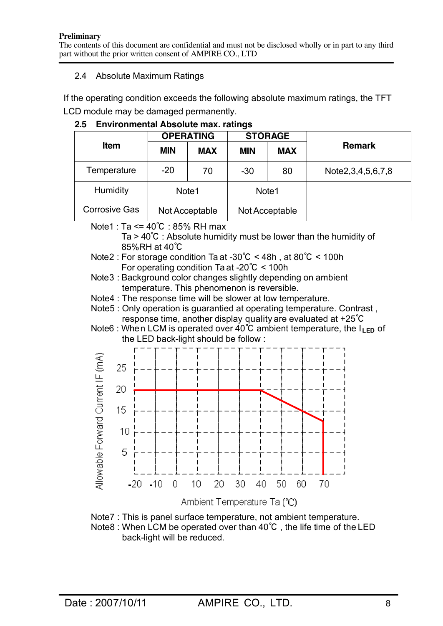## 2.4 Absolute Maximum Ratings

If the operating condition exceeds the following absolute maximum ratings, the TFT LCD module may be damaged permanently.

|                      |                   | <b>OPERATING</b> |            | <b>STORAGE</b> | <b>Remark</b>            |  |  |
|----------------------|-------------------|------------------|------------|----------------|--------------------------|--|--|
| <b>Item</b>          | <b>MIN</b>        | <b>MAX</b>       | <b>MIN</b> | <b>MAX</b>     |                          |  |  |
| Temperature          | $-20$             | 70               | $-30$      | 80             | Note 2, 3, 4, 5, 6, 7, 8 |  |  |
| Humidity             | Note <sub>1</sub> |                  | Note1      |                |                          |  |  |
| <b>Corrosive Gas</b> |                   | Not Acceptable   |            | Not Acceptable |                          |  |  |

**2.5 Environmental Absolute max. ratings**

Note1 : Ta <= 40℃ : 85% RH max

Ta > 40℃ : Absolute humidity must be lower than the humidity of 85%RH at 40℃

- Note2 : For storage condition Ta at -30℃ < 48h , at 80℃ < 100h For operating condition Ta at -20℃ < 100h
- Note3 : Background color changes slightly depending on ambient temperature. This phenomenon is reversible.
- Note4 : The response time will be slower at low temperature.
- Note5 : Only operation is guarantied at operating temperature. Contrast , response time, another display quality are evaluated at +25℃
- Note6 : When LCM is operated over 40<sup>°</sup>C ambient temperature, the I<sub>LED</sub> of the LED back-light should be follow :



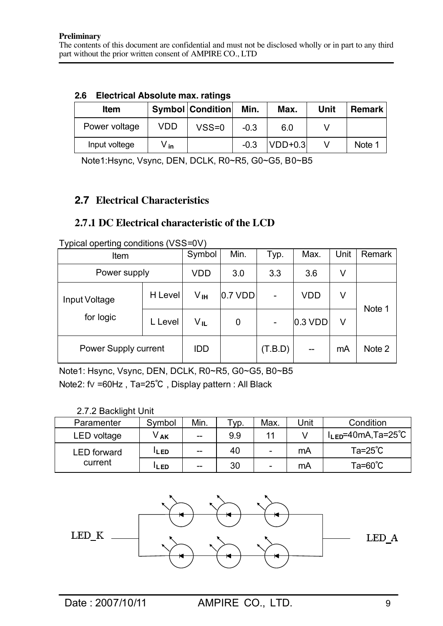| <b>Electrical Absolute max. ratings</b> |
|-----------------------------------------|
|                                         |

| <b>Item</b>   |                  | <b>Symbol Condition</b> | Min.   | Max.      | Unit | <b>Remark</b> |
|---------------|------------------|-------------------------|--------|-----------|------|---------------|
| Power voltage | <b>VDD</b>       | $VSS=0$                 | $-0.3$ | 6.0       |      |               |
| Input voltege | ∨. <sub>in</sub> |                         | $-0.3$ | $VDD+0.3$ |      | Note 1        |

Note1:Hsync, Vsync, DEN, DCLK, R0~R5, G0~G5, B0~B5

## **2.7 Electrical Characteristics**

## **2.7.1 DC Electrical characteristic of the LCD**

| . <i>,</i><br>$-1$<br>⊷. ອ ∽<br>Item | Symbol  | Min.                    | Typ.      | Max.            | Unit      | Remark |        |
|--------------------------------------|---------|-------------------------|-----------|-----------------|-----------|--------|--------|
| Power supply                         |         | VDD                     | 3.0       | 3.3             | 3.6       | ٧      |        |
| Input Voltage                        | H Level | Vин                     | $0.7$ VDD | $\qquad \qquad$ | VDD       | ٧      | Note 1 |
| for logic                            | L Level | $V_{\cdot \mathsf{IL}}$ | 0         |                 | $0.3$ VDD | V      |        |
| Power Supply current                 |         | <b>IDD</b>              |           | (T.B.D)         |           | mA     | Note 2 |

Typical operting conditions (VSS=0V)

Note1: Hsync, Vsync, DEN, DCLK, R0~R5, G0~G5, B0~B5 Note2: fV =60Hz , Ta=25℃ , Display pattern : All Black

## 2.7.2 Backlight Unit

| Paramenter         | Svmbol     | Min.  | Γyp. | Max. | Unit | Condition                  |
|--------------------|------------|-------|------|------|------|----------------------------|
| LED voltage        | V .ak      | $- -$ | 9.9  |      |      | $l_{LED} = 40mA$ , Ta=25°C |
| <b>LED</b> forward | LL ED.     | $-$   | 40   | -    | mA   | $Ta=25^{\circ}C$           |
| current            | <b>LED</b> | $- -$ | 30   | -    | mA   | $Ta=60^{\circ}C$           |

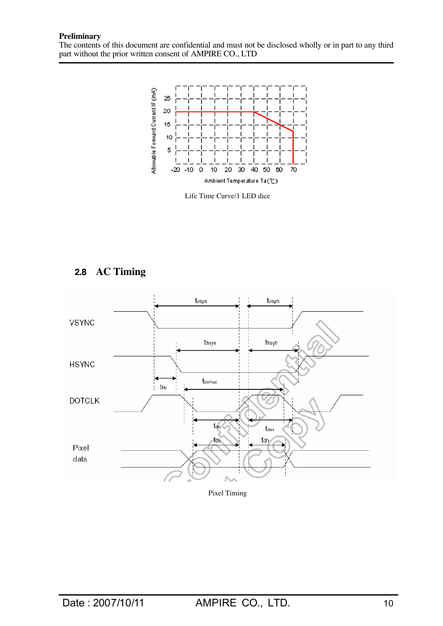The contents of this document are confidential and must not be disclosed wholly or in part to any third part without the prior written consent of AMPIRE CO., LTD



Life Time Curve/1 LED dice



## **2.8 AC Timing**

Pixel Timing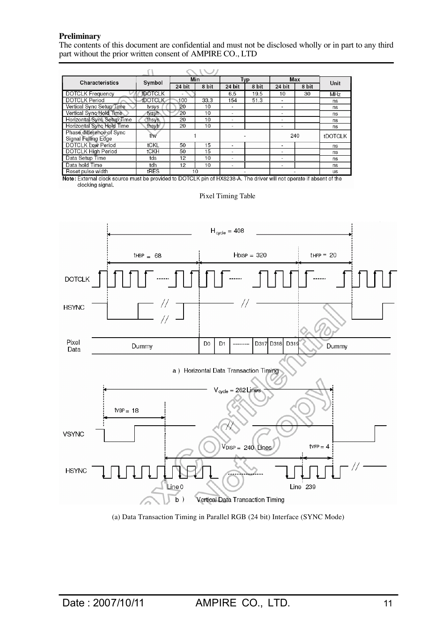The contents of this document are confidential and must not be disclosed wholly or in part to any third part without the prior written consent of AMPIRE CO., LTD

| Characteristics                                 | Symbol         |        | Min   | Typ                      |       | Max                      |       | Unit       |
|-------------------------------------------------|----------------|--------|-------|--------------------------|-------|--------------------------|-------|------------|
|                                                 |                | 24 bit | 8 bit | 24 bit                   | 8 bit | 24 bit                   | 8 bit |            |
| <b>DOTCLK Frequency</b>                         | <b>fDOTCLK</b> |        |       | 6.5                      | 19.5  | 10                       | 30    | <b>MHz</b> |
| <b>DOTCLK Period</b>                            | <b>tDOTCLK</b> | 100    | 33.3  | 154                      | 51.3  | $\overline{\phantom{a}}$ |       | ns         |
| Vertical Sync Setup Time                        | tvsys          | 20     | 10    | -                        |       | $\overline{\phantom{0}}$ |       | ns         |
| Vertical Sync Hold Time                         | tvsyh          | 20     | 10    | ۰                        |       | ۰                        |       | ns         |
| Horizontal Sync Setup Time                      | thsys          | 20     | 10    | -                        |       | $\overline{\phantom{a}}$ |       | ns         |
| Horizontal Sync Hold Time                       | thsyh          | 20     | 10    | -                        |       |                          |       | ns         |
| Phase difference of Sync<br>Signal Falling Edge | thv            |        |       |                          |       | 240                      |       | tDOTCLK    |
| <b>DOTCLK Low Period</b>                        | tCKL           | 50     | 15    | $\overline{\phantom{a}}$ |       |                          |       | ns         |
| <b>DOTCLK High Period</b>                       | tCKH           | 50     | 15    | -                        |       | $\overline{\phantom{0}}$ |       | ns         |
| Data Setup Time                                 | tds            | 12     | 10    | $\overline{\phantom{a}}$ |       | $\,$                     |       | ns         |
| Data hold Time                                  | tdh            | 12     | 10    |                          |       |                          |       | ns         |
| Reset pulse width                               | <b>tRES</b>    |        | 10    |                          |       |                          |       | <b>US</b>  |

Note: External clock source must be provided to DOTCLK pin of HX8238-A. The driver will not operate if absent of the<br>clocking signal.



#### Pixel Timing Table

(a) Data Transaction Timing in Parallel RGB (24 bit) Interface (SYNC Mode)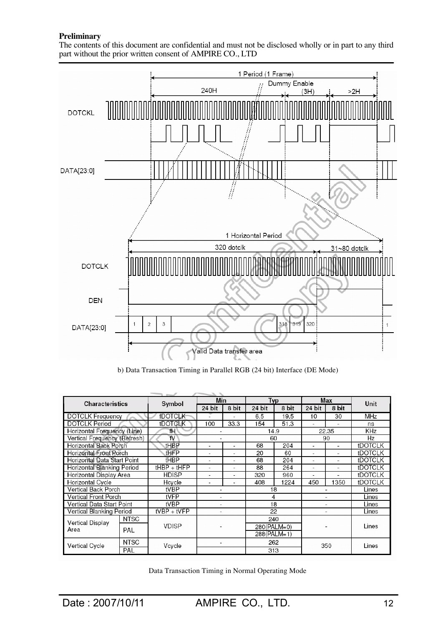The contents of this document are confidential and must not be disclosed wholly or in part to any third part without the prior written consent of AMPIRE CO., LTD



b) Data Transaction Timing in Parallel RGB (24 bit) Interface (DE Mode)

|                               |             | <b>COLLEGE</b><br>Min<br>Typ |        |       |             |       | Max    |       |                |
|-------------------------------|-------------|------------------------------|--------|-------|-------------|-------|--------|-------|----------------|
| <b>Characteristics</b>        |             | Symbol                       | 24 bit | 8 bit | 24 bit      | 8 bit | 24 bit | 8 bit | Unit           |
| <b>DOTCLK Frequency</b>       |             | <b>fDOTCLK</b>               |        |       | 6.5         | 19.5  | 10     | 30    | <b>MHz</b>     |
| <b>DOTCLK Period</b>          |             | tDOTCLK                      | 100    | 33.3  | 154         | 51.3  | ٠      | ٠     | ns             |
| Horizontal Frequency (Line)   |             | fH'                          |        |       | 14.9        |       |        | 22.35 | KHz            |
| Vertical Frequency (Refresh)  |             | fV                           | ٠      |       | 60          |       |        | 90    | Hz             |
| <b>Horizontal Back Porch</b>  |             | tHBP                         | ٠      | ٠     | 68          | 204   | ٠      | ٠     | <b>tDOTCLK</b> |
| <b>Horizontal Front Porch</b> |             | tHFP                         | ٠      | ÷     | 20          | 60    | ٠      |       | <b>tDOTCLK</b> |
| Horizontal Data Start Point   |             | <b>THBP</b>                  | ۰      | ۰     | 68          | 204   | ۰      |       | <b>tDOTCLK</b> |
| Horizontal Blanking Period    |             | $tHBP + tHFP$                | ٠      | ۰     | 88          | 264   | ٠      |       | <b>tDOTCLK</b> |
| Horizontal Display Area       |             | <b>HDISP</b>                 | ٠      | ٠     | 320         | 960   | ٠      |       | tDOTCLK        |
| Horizontal Cycle              |             | Hcycle                       | ۳      |       | 408         | 1224  | 450    | 1350  | <b>tDOTCLK</b> |
| Vertical Back Porch           |             | tVBP                         |        |       | 18          |       |        |       | Lines          |
| Vertical Front Porch          |             | tVFP                         | ÷,     |       | 4           |       |        |       | Lines          |
| Vertical Data Start Point     |             | tVBP                         | ÷,     |       | 18          |       |        |       | Lines          |
| Vertical Blanking Period      |             | $tVBP + tVFP$                | ٠      |       | 22          |       |        |       | Lines          |
| <b>Vertical Display</b>       | <b>NTSC</b> |                              |        |       | 240         |       |        |       |                |
| Area                          | PAL         | <b>VDISP</b>                 |        |       | 280(PALM=0) |       |        |       | Lines          |
|                               |             |                              |        |       | 288(PALM=1) |       |        |       |                |
|                               | <b>NTSC</b> |                              |        |       | 262<br>313  |       | 350    |       |                |
| Vertical Cycle                | PAL         | Vcycle                       |        |       |             |       |        |       | Lines          |

Data Transaction Timing in Normal Operating Mode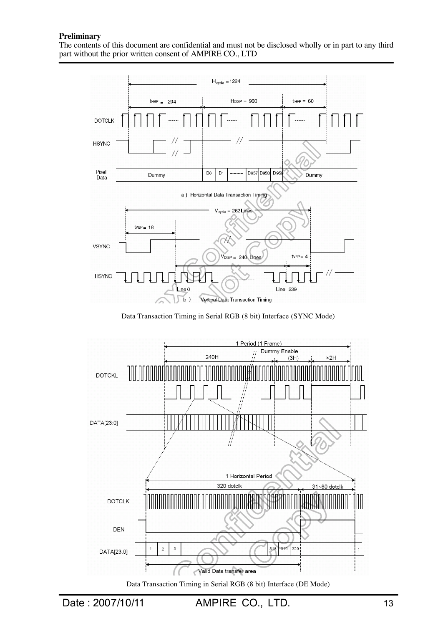The contents of this document are confidential and must not be disclosed wholly or in part to any third part without the prior written consent of AMPIRE CO., LTD



Data Transaction Timing in Serial RGB (8 bit) Interface (SYNC Mode)



Data Transaction Timing in Serial RGB (8 bit) Interface (DE Mode)

Date : 2007/10/11 AMPIRE CO., LTD. 13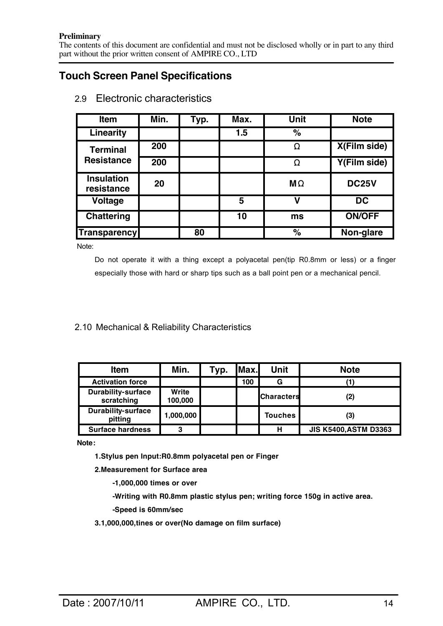The contents of this document are confidential and must not be disclosed wholly or in part to any third part without the prior written consent of AMPIRE CO., LTD

## **Touch Screen Panel Specifications**

| <b>Item</b>                     | Min. | Typ. | Max. | <b>Unit</b>   | <b>Note</b>   |
|---------------------------------|------|------|------|---------------|---------------|
| Linearity                       |      |      | 1.5  | $\frac{1}{6}$ |               |
| <b>Terminal</b>                 | 200  |      |      | Ω             | X(Film side)  |
| <b>Resistance</b>               | 200  |      |      | Ω             | Y(Film side)  |
| <b>Insulation</b><br>resistance | 20   |      |      | $M\Omega$     | <b>DC25V</b>  |
| <b>Voltage</b>                  |      |      | 5    | ν             | <b>DC</b>     |
| <b>Chattering</b>               |      |      | 10   | ms            | <b>ON/OFF</b> |
| <b>Transparency</b>             |      | 80   |      | $\%$          | Non-glare     |

2.9 Electronic characteristics

Note:

Do not operate it with a thing except a polyacetal pen(tip R0.8mm or less) or a finger especially those with hard or sharp tips such as a ball point pen or a mechanical pencil.

## 2.10 Mechanical & Reliability Characteristics

| <b>Item</b>                             | Min.             | Typ. | Max. | <b>Unit</b>       | <b>Note</b>                  |
|-----------------------------------------|------------------|------|------|-------------------|------------------------------|
| <b>Activation force</b>                 |                  |      | 100  | G                 |                              |
| <b>Durability-surface</b><br>scratching | Write<br>100,000 |      |      | <b>Characters</b> |                              |
| <b>Durability-surface</b><br>pitting    | 1,000,000        |      |      | <b>Touches</b>    | (3)                          |
| <b>Surface hardness</b>                 | 3                |      |      | н                 | <b>JIS K5400, ASTM D3363</b> |

**Note:**

**1.Stylus pen Input:R0.8mm polyacetal pen or Finger**

**2.Measurement for Surface area**

**-1,000,000 times or over**

**-Writing with R0.8mm plastic stylus pen; writing force 150g in active area.**

**-Speed is 60mm/sec**

**3.1,000,000,tines or over(No damage on film surface)**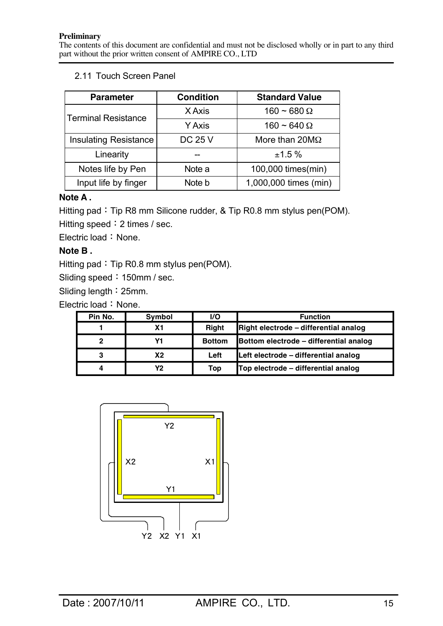## 2.11 Touch Screen Panel

| <b>Parameter</b>             | <b>Condition</b> | <b>Standard Value</b> |  |
|------------------------------|------------------|-----------------------|--|
| <b>Terminal Resistance</b>   | X Axis           | $160 - 680 \Omega$    |  |
|                              | Y Axis           | $160 \sim 640 \Omega$ |  |
| <b>Insulating Resistance</b> | <b>DC 25 V</b>   | More than $20M\Omega$ |  |
| Linearity                    |                  | ±1.5%                 |  |
| Notes life by Pen            | Note a           | 100,000 times(min)    |  |
| Input life by finger         | Note b           | 1,000,000 times (min) |  |

## **Note A .**

Hitting pad: Tip R8 mm Silicone rudder, & Tip R0.8 mm stylus pen(POM). Hitting speed: 2 times / sec.

Electric load: None.

## **Note B .**

Hitting pad: Tip R0.8 mm stylus pen(POM).

Sliding speed: 150mm / sec.

Sliding length:25mm.

Electric load: None.

| Pin No. | Symbol | <b>I/O</b>    | <b>Function</b>                        |
|---------|--------|---------------|----------------------------------------|
|         | Χ1     | <b>Right</b>  | Right electrode - differential analog  |
|         |        | <b>Bottom</b> | Bottom electrode - differential analog |
|         | X2     | Left          | Left electrode - differential analog   |
|         | Y2     | Top           | Top electrode – differential analog    |

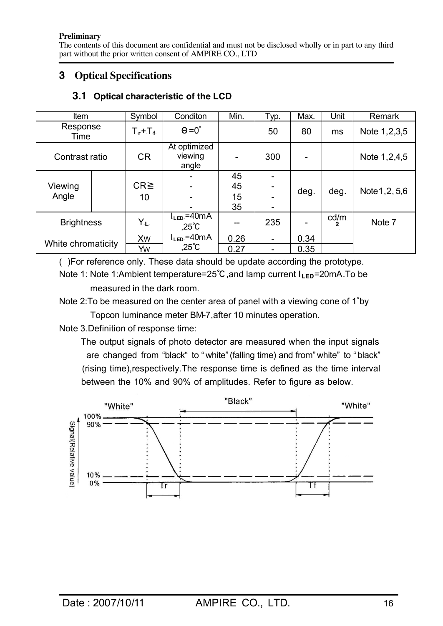The contents of this document are confidential and must not be disclosed wholly or in part to any third part without the prior written consent of AMPIRE CO., LTD

## **3 Optical Specifications**

| Item               |  | Symbol      | Conditon                            | Min. | Typ.                     | Max. | Unit      | Remark          |
|--------------------|--|-------------|-------------------------------------|------|--------------------------|------|-----------|-----------------|
| Response<br>Time   |  | $T_r+T_f$ . | $\Theta = 0^\circ$                  |      | 50                       | 80   | ms        | Note 1, 2, 3, 5 |
| Contrast ratio     |  | <b>CR</b>   | At optimized<br>viewing<br>angle    |      | 300                      |      |           | Note 1,2,4,5    |
|                    |  |             |                                     | 45   |                          |      |           |                 |
| Viewing            |  | $CR \geq$   |                                     | 45   |                          | deg. | deg.      | Note 1, 2, 5, 6 |
| Angle              |  | 10          |                                     | 15   |                          |      |           |                 |
|                    |  |             |                                     | 35   |                          |      |           |                 |
| <b>Brightness</b>  |  | YĿ          | $l_{LED} = 40mA$<br>$.25^{\circ}$ C |      | 235                      |      | cd/m<br>2 | Note 7          |
| White chromaticity |  | <b>Xw</b>   | $l_{LED} = 40mA$                    | 0.26 | $\overline{\phantom{a}}$ | 0.34 |           |                 |
|                    |  | Yw          | $,25^{\circ}$ C                     | 0.27 |                          | 0.35 |           |                 |

## **3.1 Optical characteristic of the LCD**

( )For reference only. These data should be update according the prototype.

Note 1: Note 1:Ambient temperature=25°C, and lamp current I<sub>LED</sub>=20mA.To be measured in the dark room.

Note 2:To be measured on the center area of panel with a viewing cone of 1<sup>°</sup>by Topcon luminance meter BM-7,after 10 minutes operation.

Note 3.Definition of response time:

 The output signals of photo detector are measured when the input signals are changed from "black" to " white" (falling time) and from" white" to " black" (rising time),respectively.The response time is defined as the time interval between the 10% and 90% of amplitudes. Refer to figure as below.

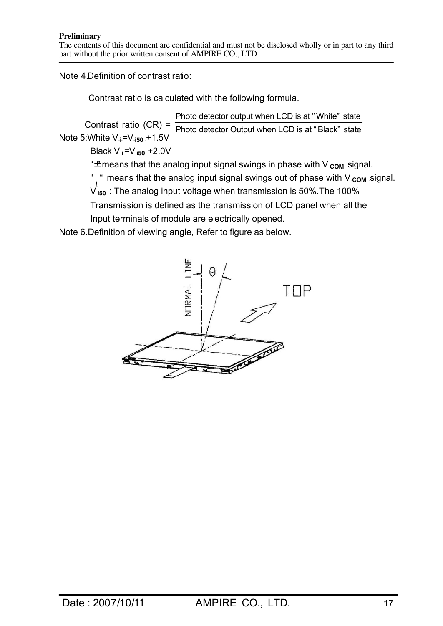The contents of this document are confidential and must not be disclosed wholly or in part to any third part without the prior written consent of AMPIRE CO., LTD

Note 4.Definition of contrast ratio:

Contrast ratio is calculated with the following formula.

Contrast ratio  $(CR) = \frac{R}{\text{Photo detector Output when LCD is at "Black" state}}$ **Note 5: White V<sub>i</sub>=V<sub>i50</sub> +1.5V** Photo detector output when LCD is at " White" state

**Black V**  $\neq$  **=V** i<sub>50</sub>  $\pm$  **2.0V** 

" $\pm$  means that the analog input signal swings in phase with V<sub>com</sub> signal.

" $\pm$ " means that the analog input signal swings out of phase with V  $_{COM}$  signal.

 $V_{450}$ : The analog input voltage when transmission is 50%. The 100%

Transmission is defined as the transmission of LCD panel when all the Input terminals of module are electrically opened.

Note 6.Definition of viewing angle, Refer to figure as below.

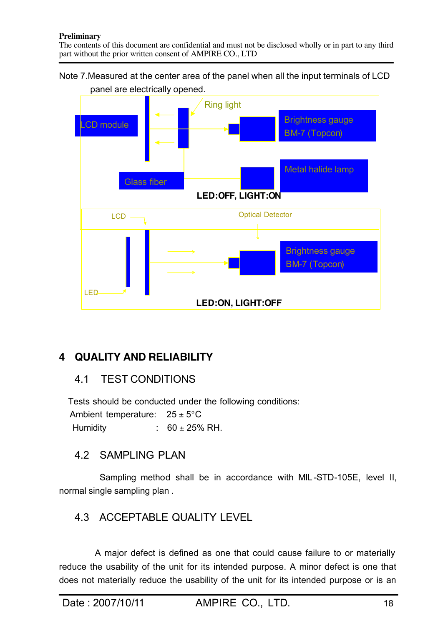## Note 7.Measured at the center area of the panel when all the input terminals of LCD panel are electrically opened.



# **4 QUALITY AND RELIABILITY**

# 4.1 TEST CONDITIONS

 Tests should be conducted under the following conditions: Ambient temperature:  $25 \pm 5^{\circ}$ C Humidity :  $60 \pm 25\%$  RH.

# 4.2 SAMPLING PLAN

 Sampling method shall be in accordance with MIL -STD-105E, level II, normal single sampling plan .

# 4.3 ACCEPTABLE QUALITY LEVEL

 A major defect is defined as one that could cause failure to or materially reduce the usability of the unit for its intended purpose. A minor defect is one that does not materially reduce the usability of the unit for its intended purpose or is an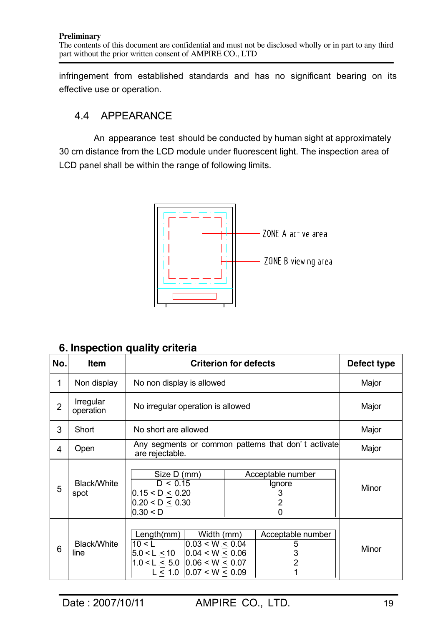infringement from established standards and has no significant bearing on its effective use or operation.

# 4.4 APPEARANCE

 An appearance test should be conducted by human sight at approximately 30 cm distance from the LCD module under fluorescent light. The inspection area of LCD panel shall be within the range of following limits.



# **6. Inspection quality criteria**

| No.            | Item                       |                                                                                                                                                                 | <b>Criterion for defects</b>                       | Defect type |
|----------------|----------------------------|-----------------------------------------------------------------------------------------------------------------------------------------------------------------|----------------------------------------------------|-------------|
| 1              | Non display                | No non display is allowed                                                                                                                                       |                                                    | Major       |
| $\overline{2}$ | Irregular<br>operation     | No irregular operation is allowed                                                                                                                               | Major                                              |             |
| 3              | Short                      | No short are allowed                                                                                                                                            |                                                    | Major       |
| 4              | Open                       | Any segments or common patterns that don't activate<br>are rejectable.                                                                                          | Major                                              |             |
| 5              | <b>Black/White</b><br>spot | Size D (mm)<br>D < 0.15<br>0.15 < D < 0.20<br>0.20 < D < 0.30<br>0.30 < D                                                                                       | Acceptable number<br>Ignore<br>3<br>2<br>0         |             |
| 6              | Black/White<br>line        | Length(mm)<br>Width (mm)<br>0.03 < W < 0.04<br>10 < L<br>$5.0 < L \le 10$ 0.04 < W $\le 0.06$<br>$1.0 < L < 5.0$ 0.06 < W < 0.07<br>$L < 1.0$   0.07 < W < 0.09 | Acceptable number<br>5<br>3<br>$\overline{2}$<br>1 | Minor       |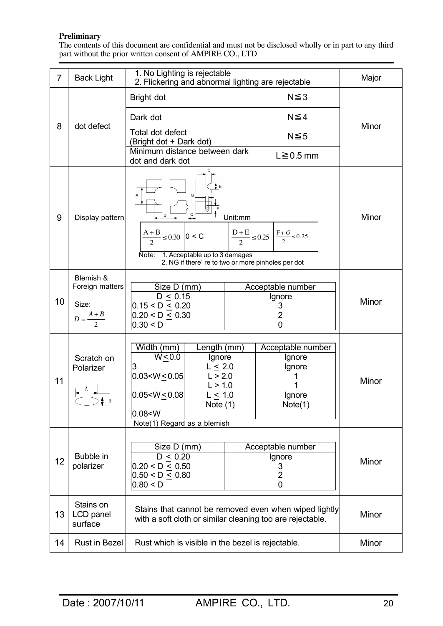The contents of this document are confidential and must not be disclosed wholly or in part to any third part without the prior written consent of AMPIRE CO., LTD

| $\overline{7}$ | <b>Back Light</b>                                            | 1. No Lighting is rejectable<br>2. Flickering and abnormal lighting are rejectable                                                                                                                                                 |       |                                                            | Major |
|----------------|--------------------------------------------------------------|------------------------------------------------------------------------------------------------------------------------------------------------------------------------------------------------------------------------------------|-------|------------------------------------------------------------|-------|
|                |                                                              | Bright dot                                                                                                                                                                                                                         |       | $N \leq 3$                                                 |       |
| 8              |                                                              | Dark dot                                                                                                                                                                                                                           |       | $N \leq 4$                                                 | Minor |
|                | dot defect                                                   | Total dot defect<br>(Bright dot + Dark dot)                                                                                                                                                                                        |       | $N \leq 5$                                                 |       |
|                |                                                              | Minimum distance between dark<br>dot and dark dot                                                                                                                                                                                  |       | $L \ge 0.5$ mm                                             |       |
| 9              | Display pattern                                              | D<br>G<br>С<br>Unit:mm<br>٠.<br>$\frac{D+E}{2} \leq 0.25 \left  \frac{F+G}{2} \leq 0.25 \right $<br>$\frac{A+B}{2} \le 0.30$ 0 < C<br>1. Acceptable up to 3 damages<br>Note:<br>2. NG if there' re to two or more pinholes per dot |       |                                                            | Minor |
| 10             | Blemish &<br>Foreign matters<br>Size:<br>$D = \frac{A+B}{2}$ | Size D (mm)<br>$D \le 0.15$<br>$0.15 < D \le 0.20$<br>0.20 < D < 0.30<br>0.30 < D                                                                                                                                                  |       | Acceptable number<br>Ignore<br>3<br>$\overline{2}$<br>0    | Minor |
| 11             | Scratch on<br>Polarizer<br>$\bullet$ B                       | Length (mm)<br>Width (mm)<br>$W \leq 0.0$<br>Ignore<br>$L \leq 2.0$<br>$0.03 < W \le 0.05$<br>L > 2.0<br>L > 1.0<br>$0.05 < W \le 0.08$<br>L < 1.0<br>Note $(1)$<br>0.08 < W<br>Note(1) Regard as a blemish                        |       | Acceptable number<br>Ignore<br>Ignore<br>Ignore<br>Note(1) | Minor |
| 12             | Bubble in<br>polarizer                                       | Size D (mm)<br>D < 0.20<br>$0.20 < D \leq 0.50$<br>0.50 < D < 0.80<br>0.80 < D                                                                                                                                                     |       | Acceptable number<br>Ignore<br>3<br>$\overline{2}$<br>0    | Minor |
| 13             | Stains on<br>LCD panel<br>surface                            | Stains that cannot be removed even when wiped lightly<br>with a soft cloth or similar cleaning too are rejectable.                                                                                                                 | Minor |                                                            |       |
| 14             | Rust in Bezel                                                | Rust which is visible in the bezel is rejectable.                                                                                                                                                                                  |       |                                                            | Minor |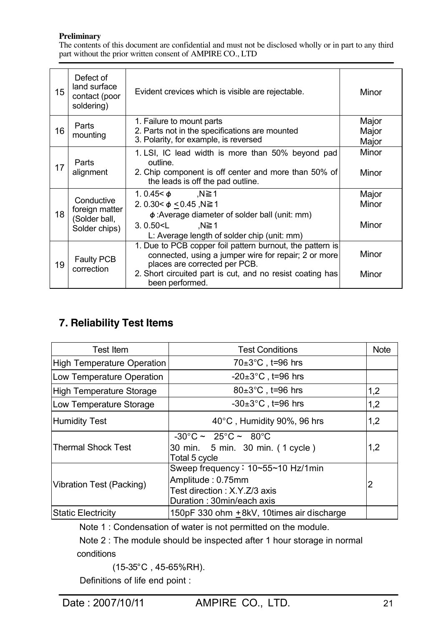The contents of this document are confidential and must not be disclosed wholly or in part to any third part without the prior written consent of AMPIRE CO., LTD

| 15 | Defect of<br>land surface<br>contact (poor<br>soldering)       | Evident crevices which is visible are rejectable.                                                                                                                                                                                  | Minor                   |
|----|----------------------------------------------------------------|------------------------------------------------------------------------------------------------------------------------------------------------------------------------------------------------------------------------------------|-------------------------|
| 16 | Parts<br>mounting                                              | 1. Failure to mount parts<br>2. Parts not in the specifications are mounted<br>3. Polarity, for example, is reversed                                                                                                               | Major<br>Major<br>Major |
| 17 | Parts<br>alignment                                             | 1. LSI, IC lead width is more than 50% beyond pad<br>outline.<br>2. Chip component is off center and more than 50% of<br>the leads is off the pad outline.                                                                         | Minor<br>Minor          |
| 18 | Conductive<br>foreign matter<br>(Solder ball,<br>Solder chips) | ,N≧1<br>1.0.45< $\phi$<br>2. 0.30< $\phi$ < 0.45, N≧ 1<br>$\phi$ : Average diameter of solder ball (unit: mm)<br>$3.0.50 < L$ , N $\geq 1$<br>L: Average length of solder chip (unit: mm)                                          | Major<br>Minor<br>Minor |
| 19 | Faulty PCB<br>correction                                       | 1. Due to PCB copper foil pattern burnout, the pattern is<br>connected, using a jumper wire for repair; 2 or more<br>places are corrected per PCB.<br>2. Short circuited part is cut, and no resist coating has<br>been performed. | Minor<br>Minor          |

# **7. Reliability Test Items**

| Test Item                         | <b>Test Conditions</b>                                                                                               | <b>Note</b> |
|-----------------------------------|----------------------------------------------------------------------------------------------------------------------|-------------|
| <b>High Temperature Operation</b> | $70\pm3\degree C$ , t=96 hrs                                                                                         |             |
| Low Temperature Operation         | $-20\pm3$ °C, t=96 hrs                                                                                               |             |
| High Temperature Storage          | $80\pm3^{\circ}$ C, t=96 hrs                                                                                         | 1,2         |
| Low Temperature Storage           | $-30\pm3$ °C, t=96 hrs                                                                                               | 1,2         |
| <b>Humidity Test</b>              | 40°C, Humidity 90%, 96 hrs                                                                                           | 1,2         |
| <b>Thermal Shock Test</b>         | $-30^{\circ}$ C ~ 25 $^{\circ}$ C ~ 80 $^{\circ}$ C<br>30 min. 5 min. 30 min. (1 cycle)<br>Total 5 cycle             | 1,2         |
| Vibration Test (Packing)          | Sweep frequency: 10~55~10 Hz/1min<br>Amplitude: 0.75mm<br>Test direction : X.Y.Z/3 axis<br>Duration: 30min/each axis | 2           |
| <b>Static Electricity</b>         | 150pF 330 ohm +8kV, 10times air discharge                                                                            |             |

Note 1 : Condensation of water is not permitted on the module.

 Note 2 : The module should be inspected after 1 hour storage in normal conditions

(15-35°C , 45-65%RH).

Definitions of life end point :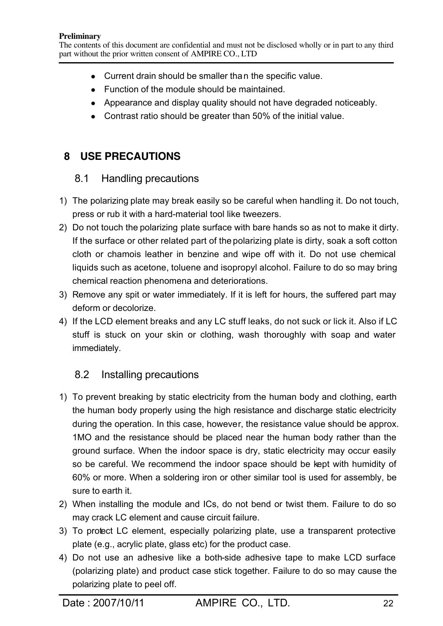- Current drain should be smaller than the specific value.
- $\bullet$  Function of the module should be maintained.
- Appearance and display quality should not have degraded noticeably.
- Contrast ratio should be greater than  $50\%$  of the initial value.

# **8 USE PRECAUTIONS**

## 8.1 Handling precautions

- 1) The polarizing plate may break easily so be careful when handling it. Do not touch, press or rub it with a hard-material tool like tweezers.
- 2) Do not touch the polarizing plate surface with bare hands so as not to make it dirty. If the surface or other related part of the polarizing plate is dirty, soak a soft cotton cloth or chamois leather in benzine and wipe off with it. Do not use chemical liquids such as acetone, toluene and isopropyl alcohol. Failure to do so may bring chemical reaction phenomena and deteriorations.
- 3) Remove any spit or water immediately. If it is left for hours, the suffered part may deform or decolorize.
- 4) If the LCD element breaks and any LC stuff leaks, do not suck or lick it. Also if LC stuff is stuck on your skin or clothing, wash thoroughly with soap and water immediately.

# 8.2 Installing precautions

- 1) To prevent breaking by static electricity from the human body and clothing, earth the human body properly using the high resistance and discharge static electricity during the operation. In this case, however, the resistance value should be approx. 1MO and the resistance should be placed near the human body rather than the ground surface. When the indoor space is dry, static electricity may occur easily so be careful. We recommend the indoor space should be kept with humidity of 60% or more. When a soldering iron or other similar tool is used for assembly, be sure to earth it.
- 2) When installing the module and ICs, do not bend or twist them. Failure to do so may crack LC element and cause circuit failure.
- 3) To protect LC element, especially polarizing plate, use a transparent protective plate (e.g., acrylic plate, glass etc) for the product case.
- 4) Do not use an adhesive like a both-side adhesive tape to make LCD surface (polarizing plate) and product case stick together. Failure to do so may cause the polarizing plate to peel off.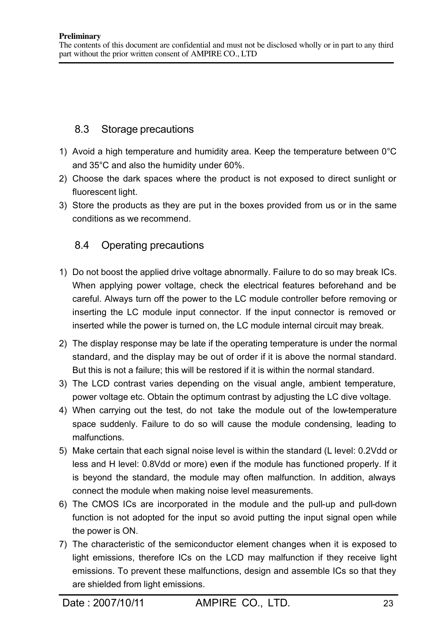## 8.3 Storage precautions

- 1) Avoid a high temperature and humidity area. Keep the temperature between 0°C and 35°C and also the humidity under 60%.
- 2) Choose the dark spaces where the product is not exposed to direct sunlight or fluorescent light.
- 3) Store the products as they are put in the boxes provided from us or in the same conditions as we recommend.

# 8.4 Operating precautions

- 1) Do not boost the applied drive voltage abnormally. Failure to do so may break ICs. When applying power voltage, check the electrical features beforehand and be careful. Always turn off the power to the LC module controller before removing or inserting the LC module input connector. If the input connector is removed or inserted while the power is turned on, the LC module internal circuit may break.
- 2) The display response may be late if the operating temperature is under the normal standard, and the display may be out of order if it is above the normal standard. But this is not a failure; this will be restored if it is within the normal standard.
- 3) The LCD contrast varies depending on the visual angle, ambient temperature, power voltage etc. Obtain the optimum contrast by adjusting the LC dive voltage.
- 4) When carrying out the test, do not take the module out of the low-temperature space suddenly. Failure to do so will cause the module condensing, leading to malfunctions.
- 5) Make certain that each signal noise level is within the standard (L level: 0.2Vdd or less and H level: 0.8Vdd or more) even if the module has functioned properly. If it is beyond the standard, the module may often malfunction. In addition, always connect the module when making noise level measurements.
- 6) The CMOS ICs are incorporated in the module and the pull-up and pull-down function is not adopted for the input so avoid putting the input signal open while the power is ON.
- 7) The characteristic of the semiconductor element changes when it is exposed to light emissions, therefore ICs on the LCD may malfunction if they receive light emissions. To prevent these malfunctions, design and assemble ICs so that they are shielded from light emissions.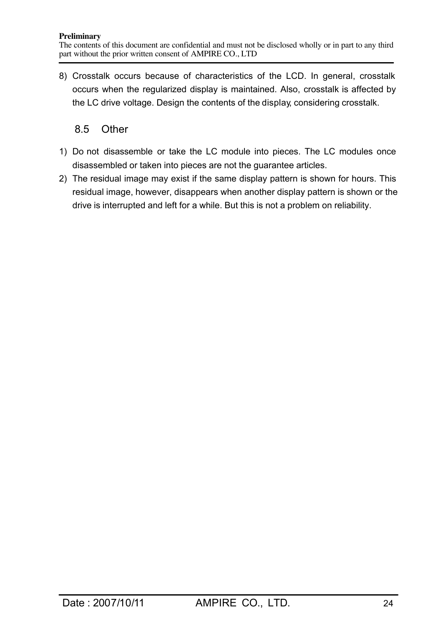8) Crosstalk occurs because of characteristics of the LCD. In general, crosstalk occurs when the regularized display is maintained. Also, crosstalk is affected by the LC drive voltage. Design the contents of the display, considering crosstalk.

## 8.5 Other

- 1) Do not disassemble or take the LC module into pieces. The LC modules once disassembled or taken into pieces are not the guarantee articles.
- 2) The residual image may exist if the same display pattern is shown for hours. This residual image, however, disappears when another display pattern is shown or the drive is interrupted and left for a while. But this is not a problem on reliability.